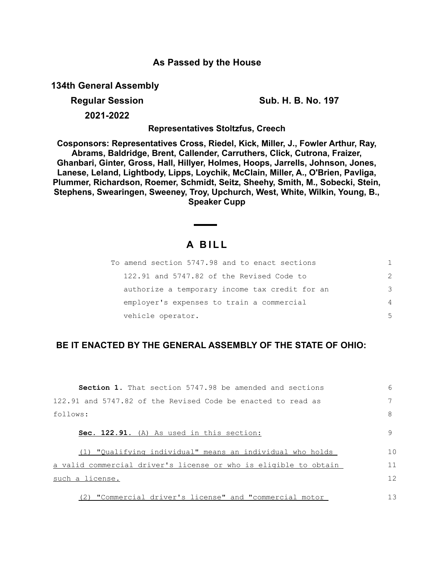# **As Passed by the House**

**134th General Assembly**

**Regular Session Sub. H. B. No. 197**

**2021-2022**

**Representatives Stoltzfus, Creech**

**Cosponsors: Representatives Cross, Riedel, Kick, Miller, J., Fowler Arthur, Ray, Abrams, Baldridge, Brent, Callender, Carruthers, Click, Cutrona, Fraizer, Ghanbari, Ginter, Gross, Hall, Hillyer, Holmes, Hoops, Jarrells, Johnson, Jones, Lanese, Leland, Lightbody, Lipps, Loychik, McClain, Miller, A., O'Brien, Pavliga, Plummer, Richardson, Roemer, Schmidt, Seitz, Sheehy, Smith, M., Sobecki, Stein, Stephens, Swearingen, Sweeney, Troy, Upchurch, West, White, Wilkin, Young, B., Speaker Cupp**

# **A B I L L**

| To amend section 5747.98 and to enact sections |               |
|------------------------------------------------|---------------|
| 122.91 and 5747.82 of the Revised Code to      | $\mathcal{P}$ |
| authorize a temporary income tax credit for an | 3             |
| employer's expenses to train a commercial      | 4             |
| vehicle operator.                              | .5            |

## **BE IT ENACTED BY THE GENERAL ASSEMBLY OF THE STATE OF OHIO:**

| <b>Section 1.</b> That section 5747.98 be amended and sections   | 6              |
|------------------------------------------------------------------|----------------|
| 122.91 and 5747.82 of the Revised Code be enacted to read as     |                |
| follows:                                                         | 8              |
| Sec. 122.91. (A) As used in this section:                        | 9              |
| "Oualifying individual" means an individual who holds            | 1 <sub>0</sub> |
| a valid commercial driver's license or who is eligible to obtain | 11             |
| such a license.                                                  | 12             |
| (2) "Commercial driver's license" and "commercial motor          | 13             |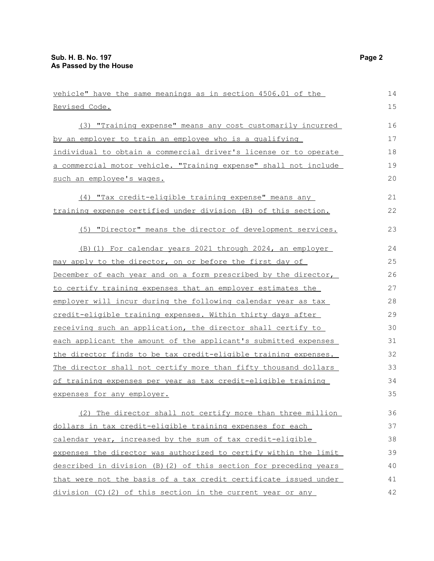| vehicle" have the same meanings as in section 4506.01 of the      | 14 |
|-------------------------------------------------------------------|----|
| Revised Code.                                                     | 15 |
| (3) "Training expense" means any cost customarily incurred        | 16 |
| by an employer to train an employee who is a qualifying           | 17 |
| individual to obtain a commercial driver's license or to operate  | 18 |
| a commercial motor vehicle. "Training expense" shall not include  | 19 |
| such an employee's wages.                                         | 20 |
| (4) "Tax credit-eligible training expense" means any              | 21 |
| training expense certified under division (B) of this section.    | 22 |
| (5) "Director" means the director of development services.        | 23 |
| (B) (1) For calendar years 2021 through 2024, an employer         | 24 |
| may apply to the director, on or before the first day of          | 25 |
| December of each year and on a form prescribed by the director,   | 26 |
| to certify training expenses that an employer estimates the       | 27 |
| employer will incur during the following calendar year as tax     | 28 |
| credit-eligible training expenses. Within thirty days after       | 29 |
| receiving such an application, the director shall certify to      | 30 |
| each applicant the amount of the applicant's submitted expenses   | 31 |
| the director finds to be tax credit-eligible training expenses.   | 32 |
| The director shall not certify more than fifty thousand dollars   | 33 |
| of training expenses per year as tax credit-eligible training     | 34 |
| expenses for any employer.                                        | 35 |
| (2) The director shall not certify more than three million        | 36 |
| dollars in tax credit-eligible training expenses for each         | 37 |
| calendar year, increased by the sum of tax credit-eligible        | 38 |
| expenses the director was authorized to certify within the limit  | 39 |
| described in division (B) (2) of this section for preceding years | 40 |
| that were not the basis of a tax credit certificate issued under  | 41 |
| division (C) (2) of this section in the current year or any       | 42 |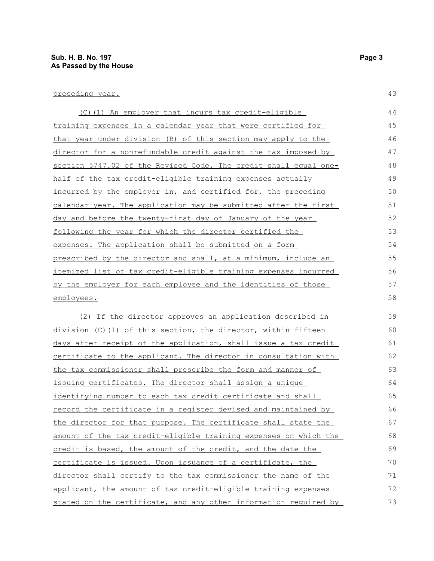### preceding year.

| (C)(1) An employer that incurs tax credit-eligible               | 44 |
|------------------------------------------------------------------|----|
| training expenses in a calendar year that were certified for     | 45 |
| that year under division (B) of this section may apply to the    | 46 |
| director for a nonrefundable credit against the tax imposed by   | 47 |
| section 5747.02 of the Revised Code. The credit shall equal one- | 48 |
| half of the tax credit-eligible training expenses actually       | 49 |
| incurred by the employer in, and certified for, the preceding    | 50 |
| calendar year. The application may be submitted after the first  | 51 |
| day and before the twenty-first day of January of the year       | 52 |
| following the year for which the director certified the          | 53 |
| expenses. The application shall be submitted on a form           | 54 |
| prescribed by the director and shall, at a minimum, include an   | 55 |
| itemized list of tax credit-eligible training expenses incurred  | 56 |
| by the employer for each employee and the identities of those    | 57 |
| employees.                                                       | 58 |
| (2) If the director approves an application described in         | 59 |
| division (C)(1) of this section, the director, within fifteen    | 60 |
| days after receipt of the application, shall issue a tax credit  | 61 |
| certificate to the applicant. The director in consultation with  | 62 |
| the tax commissioner shall prescribe the form and manner of      | 63 |
| issuing certificates. The director shall assign a unique         | 64 |
| identifying number to each tax credit certificate and shall      | 65 |
| record the certificate in a register devised and maintained by   | 66 |
| the director for that purpose. The certificate shall state the   | 67 |
| amount of the tax credit-eligible training expenses on which the | 68 |
| credit is based, the amount of the credit, and the date the      | 69 |
| certificate is issued. Upon issuance of a certificate, the       | 70 |
| director shall certify to the tax commissioner the name of the   | 71 |
| applicant, the amount of tax credit-eligible training expenses   | 72 |
| stated on the certificate, and any other information required by | 73 |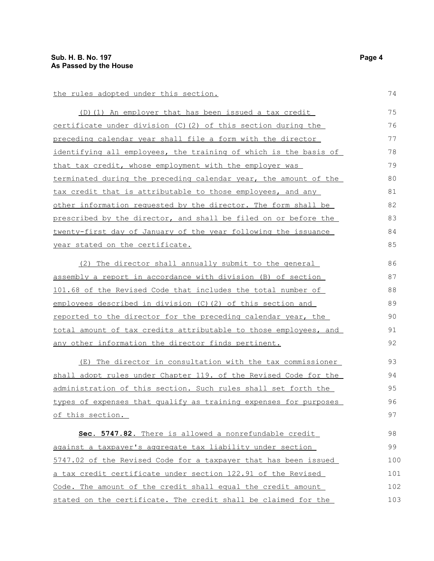#### the rules adopted under this section.

(D)(1) An employer that has been issued a tax credit certificate under division (C)(2) of this section during the preceding calendar year shall file a form with the director identifying all employees, the training of which is the basis of that tax credit, whose employment with the employer was terminated during the preceding calendar year, the amount of the tax credit that is attributable to those employees, and any other information requested by the director. The form shall be prescribed by the director, and shall be filed on or before the twenty-first day of January of the year following the issuance year stated on the certificate. 75 76 77 78 79 80 81 82 83 84 85

(2) The director shall annually submit to the general assembly a report in accordance with division (B) of section 101.68 of the Revised Code that includes the total number of employees described in division (C)(2) of this section and reported to the director for the preceding calendar year, the total amount of tax credits attributable to those employees, and any other information the director finds pertinent. 86 87 88 89 90 91 92

(E) The director in consultation with the tax commissioner shall adopt rules under Chapter 119. of the Revised Code for the administration of this section. Such rules shall set forth the types of expenses that qualify as training expenses for purposes of this section. 93 94 95 96 97

 **Sec. 5747.82.** There is allowed a nonrefundable credit against a taxpayer's aggregate tax liability under section 5747.02 of the Revised Code for a taxpayer that has been issued a tax credit certificate under section 122.91 of the Revised Code. The amount of the credit shall equal the credit amount stated on the certificate. The credit shall be claimed for the 98 99 100 101 102 103

74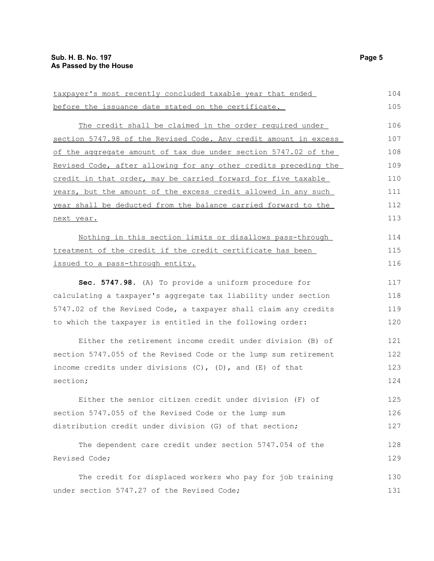| taxpayer's most recently concluded taxable year that ended       | 104 |
|------------------------------------------------------------------|-----|
| before the issuance date stated on the certificate.              | 105 |
| The credit shall be claimed in the order required under          | 106 |
| section 5747.98 of the Revised Code. Any credit amount in excess | 107 |
| of the aggregate amount of tax due under section 5747.02 of the  | 108 |
| Revised Code, after allowing for any other credits preceding the | 109 |
| credit in that order, may be carried forward for five taxable    | 110 |
| years, but the amount of the excess credit allowed in any such   | 111 |
| year shall be deducted from the balance carried forward to the   | 112 |
| next year.                                                       |     |
| Nothing in this section limits or disallows pass-through         | 114 |
| treatment of the credit if the credit certificate has been       | 115 |
| issued to a pass-through entity.                                 | 116 |
| Sec. 5747.98. (A) To provide a uniform procedure for             | 117 |
| calculating a taxpayer's aggregate tax liability under section   |     |
| 5747.02 of the Revised Code, a taxpayer shall claim any credits  |     |
| to which the taxpayer is entitled in the following order:        | 120 |
| Either the retirement income credit under division (B) of        | 121 |
| section 5747.055 of the Revised Code or the lump sum retirement  | 122 |
| income credits under divisions $(C)$ , $(D)$ , and $(E)$ of that | 123 |
| section;                                                         | 124 |
| Either the senior citizen credit under division (F) of           | 125 |
| section 5747.055 of the Revised Code or the lump sum             | 126 |
| distribution credit under division (G) of that section;          | 127 |
| The dependent care credit under section 5747.054 of the          | 128 |
| Revised Code;                                                    |     |
| The credit for displaced workers who pay for job training        | 130 |
| under section 5747.27 of the Revised Code;                       | 131 |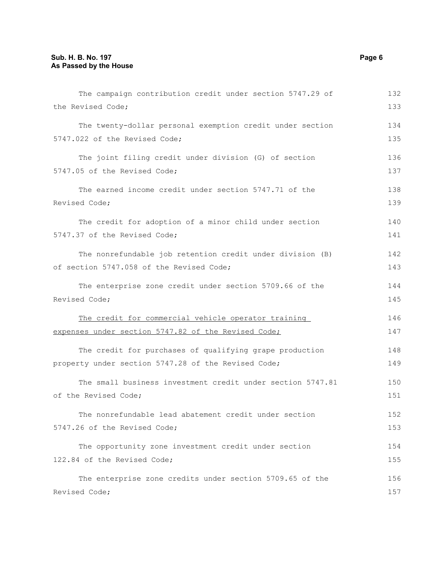| The campaign contribution credit under section 5747.29 of  | 132 |
|------------------------------------------------------------|-----|
| the Revised Code;                                          | 133 |
| The twenty-dollar personal exemption credit under section  | 134 |
| 5747.022 of the Revised Code;                              | 135 |
| The joint filing credit under division (G) of section      | 136 |
| 5747.05 of the Revised Code;                               | 137 |
| The earned income credit under section 5747.71 of the      | 138 |
| Revised Code;                                              | 139 |
| The credit for adoption of a minor child under section     | 140 |
| 5747.37 of the Revised Code;                               | 141 |
| The nonrefundable job retention credit under division (B)  | 142 |
| of section 5747.058 of the Revised Code;                   | 143 |
| The enterprise zone credit under section 5709.66 of the    | 144 |
| Revised Code;                                              |     |
| The credit for commercial vehicle operator training        | 146 |
| expenses under section 5747.82 of the Revised Code;        | 147 |
| The credit for purchases of qualifying grape production    | 148 |
| property under section 5747.28 of the Revised Code;        | 149 |
| The small business investment credit under section 5747.81 | 150 |
| of the Revised Code;                                       | 151 |
| The nonrefundable lead abatement credit under section      | 152 |
| 5747.26 of the Revised Code;                               | 153 |
| The opportunity zone investment credit under section       | 154 |
| 122.84 of the Revised Code;                                | 155 |
| The enterprise zone credits under section 5709.65 of the   | 156 |
| Revised Code;                                              | 157 |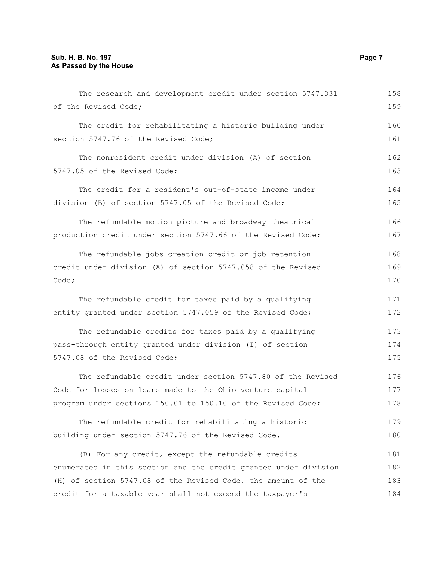| The research and development credit under section 5747.331       | 158 |
|------------------------------------------------------------------|-----|
| of the Revised Code;                                             | 159 |
| The credit for rehabilitating a historic building under          | 160 |
| section 5747.76 of the Revised Code;                             | 161 |
| The nonresident credit under division (A) of section             | 162 |
| 5747.05 of the Revised Code;                                     | 163 |
| The credit for a resident's out-of-state income under            | 164 |
| division (B) of section 5747.05 of the Revised Code;             | 165 |
| The refundable motion picture and broadway theatrical            | 166 |
| production credit under section 5747.66 of the Revised Code;     |     |
| The refundable jobs creation credit or job retention             | 168 |
| credit under division (A) of section 5747.058 of the Revised     |     |
| Code;                                                            | 170 |
| The refundable credit for taxes paid by a qualifying             | 171 |
| entity granted under section 5747.059 of the Revised Code;       | 172 |
| The refundable credits for taxes paid by a qualifying            | 173 |
| pass-through entity granted under division (I) of section        | 174 |
| 5747.08 of the Revised Code;                                     | 175 |
| The refundable credit under section 5747.80 of the Revised       | 176 |
| Code for losses on loans made to the Ohio venture capital        | 177 |
| program under sections 150.01 to 150.10 of the Revised Code;     | 178 |
| The refundable credit for rehabilitating a historic              | 179 |
| building under section 5747.76 of the Revised Code.              | 180 |
| (B) For any credit, except the refundable credits                | 181 |
| enumerated in this section and the credit granted under division | 182 |
| (H) of section 5747.08 of the Revised Code, the amount of the    | 183 |
| credit for a taxable year shall not exceed the taxpayer's        | 184 |